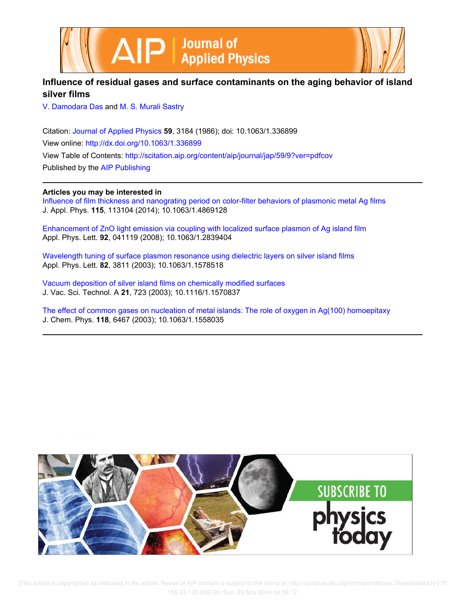



# **Influence of residual gases and surface contaminants on the aging behavior of island silver films**

V. Damodara Das and M. S. Murali Sastry

Citation: Journal of Applied Physics **59**, 3184 (1986); doi: 10.1063/1.336899 View online: http://dx.doi.org/10.1063/1.336899 View Table of Contents: http://scitation.aip.org/content/aip/journal/jap/59/9?ver=pdfcov Published by the AIP Publishing

## **Articles you may be interested in**

Influence of film thickness and nanograting period on color-filter behaviors of plasmonic metal Ag films J. Appl. Phys. **115**, 113104 (2014); 10.1063/1.4869128

Enhancement of ZnO light emission via coupling with localized surface plasmon of Ag island film Appl. Phys. Lett. **92**, 041119 (2008); 10.1063/1.2839404

Wavelength tuning of surface plasmon resonance using dielectric layers on silver island films Appl. Phys. Lett. **82**, 3811 (2003); 10.1063/1.1578518

Vacuum deposition of silver island films on chemically modified surfaces J. Vac. Sci. Technol. A **21**, 723 (2003); 10.1116/1.1570837

The effect of common gases on nucleation of metal islands: The role of oxygen in Ag(100) homoepitaxy J. Chem. Phys. **118**, 6467 (2003); 10.1063/1.1558035



 [This article is copyrighted as indicated in the article. Reuse of AIP content is subject to the terms at: http://scitation.aip.org/termsconditions. Downloaded to ] IP: 155.33.120.209 On: Sun, 23 Nov 2014 04:56:12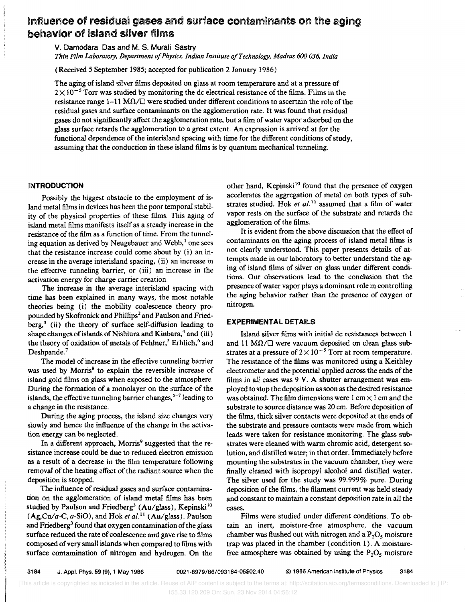# Influence of residual gases and surface contaminants on the aging behavior of island silver films

v. Damodara Das and M. S. Murali Sastry

*Thin Film Laboratory, Department 0/ Physics, Indian Institute o/Technology, Madras 600 036, India* 

(Received 5 September 1985; accepted for publication 2 January 1986)

The aging of island silver films deposited on glass at room temperature and at a pressure of  $2 \times 10^{-5}$  Torr was studied by monitoring the dc electrical resistance of the films. Films in the resistance range  $1-11$  M $\Omega/\square$  were studied under different conditions to ascertain the role of the residual gases and surface contaminants on the agglomeration rate. It was found that residual gases do not significantly affect the agglomeration rate, but a film of water vapor adsorbed on the glass surface retards the agglomeration to a great extent. An expression is arrived at for the functional dependence of the interisland spacing with time for the different conditions of study, assuming that the conduction in these island films is by quantum mechanical tunneling.

### **INTRODUCTION**

Possibly the biggest obstacle to the employment of island metal films in devices has been the poor temporal stability of the physical properties of these films. This aging of island metal films manifests itself as a steady increase in the resistance of the film as a function of time. From the tunneling equation as derived by Neugebauer and Webb, $<sup>1</sup>$  one sees</sup> that the resistance increase could come about by  $(i)$  an increase in the average interisland spacing, (ii) an increase in the effective tunneling barrier, or (iii) an increase in the activation energy for charge carrier creation.

The increase in the average interisland spacing with time has been explained in many ways, the most notable theories being (i) the mobility coalescence theory propounded by Skofronick and Phillips<sup>2</sup> and Paulson and Friedberg,<sup>3</sup> (ii) the theory of surface self-diffusion leading to shape changes of islands of Nishiura and Kinbara,<sup>4</sup> and (iii) the theory of oxidation of metals of Fehlner,<sup>5</sup> Erhlich,<sup>6</sup> and Deshpande.<sup>7</sup>

The model of increase in the effective tunneling barrier was used by Morris<sup>8</sup> to explain the reversible increase of island gold films on glass when exposed to the atmosphere. During the formation of a monolayer on the surface of the islands, the effective tunneling barrier changes,  $5-7$  leading to a change in the resistance.

During the aging process, the island size changes very slowly and hence the influence of the change in the activation energy can be neglected.

In a different approach, Morris<sup>9</sup> suggested that the resistance increase could be due to reduced electron emission as a result of a decrease in the film temperature following removal of the heating effect of the radiant source when the deposition is stopped.

The influence of residual gases and surface contamination on the agglomeration of island metal films has been studied by Paulson and Friedberg<sup>3</sup> (Au/glass), Kepinski<sup>10</sup> (Ag,Cu/a-C, *a-SiO),* and Hok *et* 01.11 (Au/glass). Paulson and Friedberg<sup>3</sup> found that oxygen contamination of the glass surface reduced the rate of coalescence and gave rise to films composed of very small islands when compared to films with surface contamination of nitrogen and hydrogen. On the other hand, Kepinski<sup>10</sup> found that the presence of oxygen accelerates the aggregation of metal on both types of substrates studied. Hok et al.<sup>11</sup> assumed that a film of water vapor rests on the surface of the substrate and retards the agglomeration of the films.

It is evident from the above discussion that the effect of contaminants on the aging process of island metal films is not dearly understood. This paper presents details of attempts made in our laboratory to better understand the aging of island films of silver on glass under different conditions. Our observations lead to the conclusion that the presence of water vapor plays a dominant role in controlling the aging behavior rather than the presence of oxygen or nitrogen.

### EXPERIMENTAL DETAilS

Island silver films with initial dc resistances between 1 and 11 M $\Omega$ / $\square$  were vacuum deposited on clean glass substrates at a pressure of  $2\times10^{-5}$  Torr at room temperature. The resistance of the films was monitored using a Keithley dectrometer and the potential applied across the ends of the films in all cases was 9 V. A shutter arrangement was employed to stop the deposition as soon as the desired resistance was obtained. The film dimensions were  $1 \text{ cm} \times 1 \text{ cm}$  and the substrate to source distance was 20 cm. Before deposition of the films, thick silver contacts were deposited at the ends of the substrate and pressure contacts were made from which leads were taken for resistance monitoring. The glass substrates were cleaned with warm chromic acid, detergent solution, and distilled water; in that order. Immediately before mounting the substrates in the vacuum chamber, they were finally cleaned with isopropyl alcohol and distilled water. The silver used for the study was 99.999% pure. During deposition of the films, the filament current was held steady and constant to maintain a constant deposition rate in all the cases.

Films were studied under different conditions. To obtain an inert, moisture-free atmosphere, the vacuum chamber was flushed out with nitrogen and a  $P_2O_5$  moisture trap was placed in the chamber (condition 1). A moisturefree atmosphere was obtained by using the  $P_2O_5$  moisture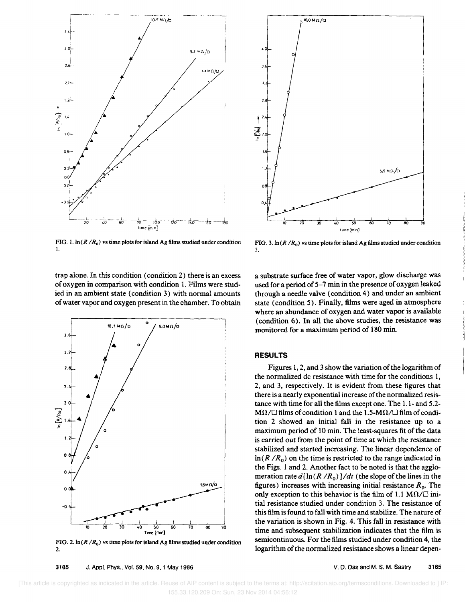

FIG. 1.  $\ln(R/R_0)$  vs time plots for island Ag films studied under condition I.



FIG. 3.  $ln(R/R_0)$  vs time plots for island Ag films studied under condition 3.

trap alone. In this condition (condition 2) there is an excess of oxygen in comparison with condition 1. Films were studied in an ambient state (condition 3) with normal amounts of water vapor and oxygen present in the chamber. To obtain



FIG. 2.  $\ln(R/R_0)$  vs time plots for island Ag films studied under condition 2.

3185 J. Appl. Phys., Vol. 59, No.9, 1 May 1986

a substrate surface free of water vapor, glow discharge was used for a period of 5-7 min in the presence of oxygen leaked through a needle valve (condition 4) and under an ambient state (condition 5). Finally, films were aged in atmosphere where an abundance of oxygen and water vapor is available (condition 6). In all the above studies, the resistance was monitored for a maximum period of 180 min.

#### **RESULTS**

Figures 1, 2, and 3 show the variation of the logarithm of the normalized dc resistance with time for the conditions 1, 2, and 3, respectively. It is evident from these figures that there is a nearly exponential increase of the normalized resistance with time for all the films except one. The 1.1- and 5.2-  $M\Omega/\square$  films of condition 1 and the 1.5-M $\Omega/\square$  film of condition 2 showed an initial fall in the resistance up to a maximum period of 10 min. The least-squares fit of the data is carried out from the point of time at which the resistance stabilized and started increasing. The linear dependence of  $\ln(R/R_0)$  on the time is restricted to the range indicated in the Figs. 1 and 2. Another fact to be noted is that the agglomeration rate  $d[\ln(R/R_0)]/dt$  (the slope of the lines in the figures) increases with increasing initial resistance  $R_0$ . The only exception to this behavior is the film of 1.1 M $\Omega/\square$  initial resistance studied under condition 3. The resistance of this film is found to fall with time and stabilize. The nature of the variation is shown in Fig. 4. This fall in resistance with time and subsequent stabilization indicates that the film is semicontinuous. For the films studied under condition 4, the logarithm of the normalized resistance shows a linear depen-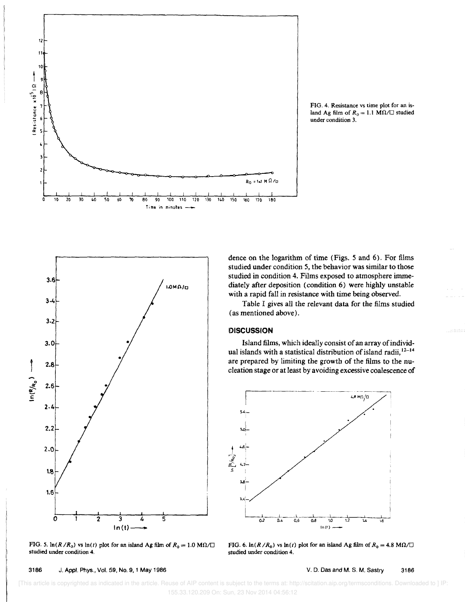

FIG. 4. Resistance vs time plot for an island Ag film of  $R_0 = 1.1$  M $\Omega/\square$  studied under condition 3.



FIG. 5.  $\ln(R/R_0)$  vs  $\ln(t)$  plot for an island Ag film of  $R_0 = 1.0$  M $\Omega/\square$ studied under condition 4.

dence on the logarithm of time (Figs. 5 and 6). For films studied under condition 5, the behavior was similar to those studied in condition 4. Films exposed to atmosphere immediately after deposition (condition 6) were highly unstable with a rapid fall in resistance with time being observed.

Table I gives all the relevant data for the films studied (as mentioned above).

#### **DISCUSSION**

Island films, which ideally consist of an array of individual islands with a statistical distribution of island radii,  $12-14$ are prepared by limiting the growth of the films to the nucleation stage or at least by avoiding excessive coalescence of



FIG. 6.  $\ln(R/R_0)$  vs  $\ln(t)$  plot for an island Ag film of  $R_0 = 4.8$  M $\Omega/\square$ studied under condition 4.

 [This article is copyrighted as indicated in the article. Reuse of AIP content is subject to the terms at: http://scitation.aip.org/termsconditions. Downloaded to ] IP: 155.33.120.209 On: Sun, 23 Nov 2014 04:56:12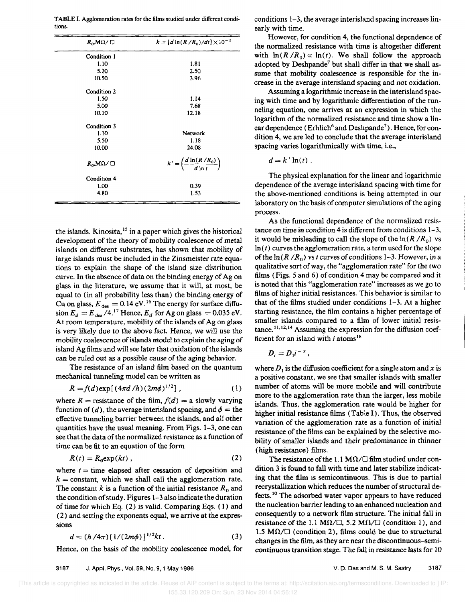TABLE I. Agglomeration rates for the films studied under different conditions.

| $R_0$ , M $\Omega$ / $\Box$  | $k = [d \ln(R/R_0)/dt] \times 10^{-2}$           |
|------------------------------|--------------------------------------------------|
| Condition 1                  |                                                  |
| 1.10                         | 1.81                                             |
| 5.20                         | 2.50                                             |
| 10.50                        | 3.96                                             |
| Condition 2                  |                                                  |
| 1.50                         | 1.14                                             |
| 5.00                         | 7.68                                             |
| 10.10                        | 12.18                                            |
| Condition 3                  |                                                  |
| 1.10                         | Network                                          |
| 5.50                         | 1.18                                             |
| 10.00                        | 24.08                                            |
| $R_{\alpha}$ M $\Omega/\Box$ | $k' = \left(\frac{d \ln(R/R_0)}{d \ln t}\right)$ |
| Condition 4                  |                                                  |
| 1.00                         | 0.39                                             |
| 4.80                         | 1.53                                             |

the islands. Kinosita,<sup>15</sup> in a paper which gives the historical development of the theory of mobility coalescence of metal islands on different substrates, has shown that mobility of large islands must be included in the Zinsmeister rate equations to explain the shape of the island size distribution curve. In the absence of data on the binding energy of Ag on glass in the literature, we assume that it will, at most, be equal to (in all probability less than) the binding energy of Cu on glass,  $E_{\text{des}} = 0.14 \text{ eV}^{16}$  The energy for surface diffusion  $E_d = E_{des} / 4$ .<sup>17</sup> Hence,  $E_d$  for Ag on glass = 0.035 eV. At room temperature, mobility of the islands of Ag on glass is very likely due to the above fact. Hence, we will use the mobility coalescence of islands model to explain the aging of island Ag films and will see later that oxidation of the islands can be ruled out as a possible cause of the aging behavior.

The resistance of an island film based on the quantum mechanical tunneling model can be written as

$$
R = f(d) \exp[(4\pi d/h)(2m\phi)^{1/2}], \qquad (1)
$$

where  $R =$  resistance of the film,  $f(d) = a$  slowly varying function of (d), the average interisland spacing, and  $\phi =$  the effective tunneling barrier between the islands, and all other quantities have the usual meaning. From Figs. 1-3, one can see that the data of the normalized resistance as a function of time can be fit to an equation of the form

$$
R(t) = R_0 \exp(kt) \tag{2}
$$

where  $t =$  time elapsed after cessation of deposition and  $k =$  constant, which we shall call the agglomeration rate. The constant  $k$  is a function of the initial resistance  $R_0$  and the condition of study. Figures 1-3 also indicate the duration of time for which Eq. (2) is valid. Comparing Eqs. (1) and (2) and setting the exponents equal, we arrive at the expressions

$$
d = (h/4\pi) \left[ 1/(2m\phi) \right]^{1/2}kt \,. \tag{3}
$$

Hence, on the basis of the mobility coalescence model, for

conditions 1-3, the average interisland spacing increases linearly with time.

However, for condition 4, the functional dependence of the normalized resistance with time is altogether different with  $\ln(R/R_0) \propto \ln(t)$ . We shall follow the approach adopted by Deshpande<sup>7</sup> but shall differ in that we shall assume that mobility coalescence is responsible for the increase in the average interisland spacing and not oxidation.

Assuming a logarithmic increase in the interisland spacing with time and by logarithmic differentiation of the tunneling equation, one arrives at an expression in which the logarithm of the normalized resistance and time show a linear dependence (Erhlich<sup>6</sup> and Deshpande<sup>7</sup>). Hence, for condition 4, we are led to conclude that the average interisland spacing varies logarithmically with time, i.e.,

$$
d=k'\ln(t).
$$

The physical explanation for the linear and logarithmic dependence of the average interisland spacing with time for the above-mentioned conditions is being attempted in our laboratory on the basis of computer simulations of the aging process.

As the functional dependence of the normalized resistance on time in condition 4 is different from conditions 1-3, it would be misleading to call the slope of the  $ln(R/R_0)$  vs  $\ln(t)$  curves the agglomeration rate, a term used for the slope of the  $ln(R/R_0)$  vs *t* curves of conditions 1-3. However, in a qualitative sort of way, the "agglomeration rate" for the two films (Figs. 5 and 6) of condition 4 may be compared and it is noted that this "agglomeration rate" increases as we go to films of higher initial resistances. This behavior is similar to that of the films studied under conditions 1-3. At a higher starting resistance, the film contains a higher percentage of smaller islands compared to a film of lower initial resis $t$ ance.<sup>11,12,14</sup> Assuming the expression for the diffusion coefficient for an island with  $i$  atoms<sup>18</sup>

$$
D_i = D_1 i^{-x},
$$

where  $D_1$  is the diffusion coefficient for a single atom and x is a positive constant, we see that smaller islands with smaller number of atoms will be more mobile and will contribute more to the agglomeration rate than the larger, less mobile islands. Thus, the agglomeration rate would be higher for higher initial resistance films (Table I). Thus, the observed variation of the agglomeration rate as a function of initial resistance of the films can be explained by the selective mobility of smaller islands and their predominance in thinner (high resistance) films.

The resistance of the 1.1 M $\Omega$ / $\square$  film studied under condition 3 is found to fall with time and later stabilize indicating that the film is semicontinuous. This is due to partial recrystallization which reduces the number of structural defects.<sup>10</sup> The adsorbed water vapor appears to have reduced the nucleation barrier leading to an enhanced nucleation and consequently to a network film structure. The initial fall in resistance of the 1.1 M $\Omega/\square$ , 5.2 M $\Omega/\square$  (condition 1), and 1.5 M $\Omega$ / $\Box$  (condition 2), films could be due to structural changes in the film, as they are near the discontinuous-semicontinuous transition stage. The fall in resistance lasts for 10